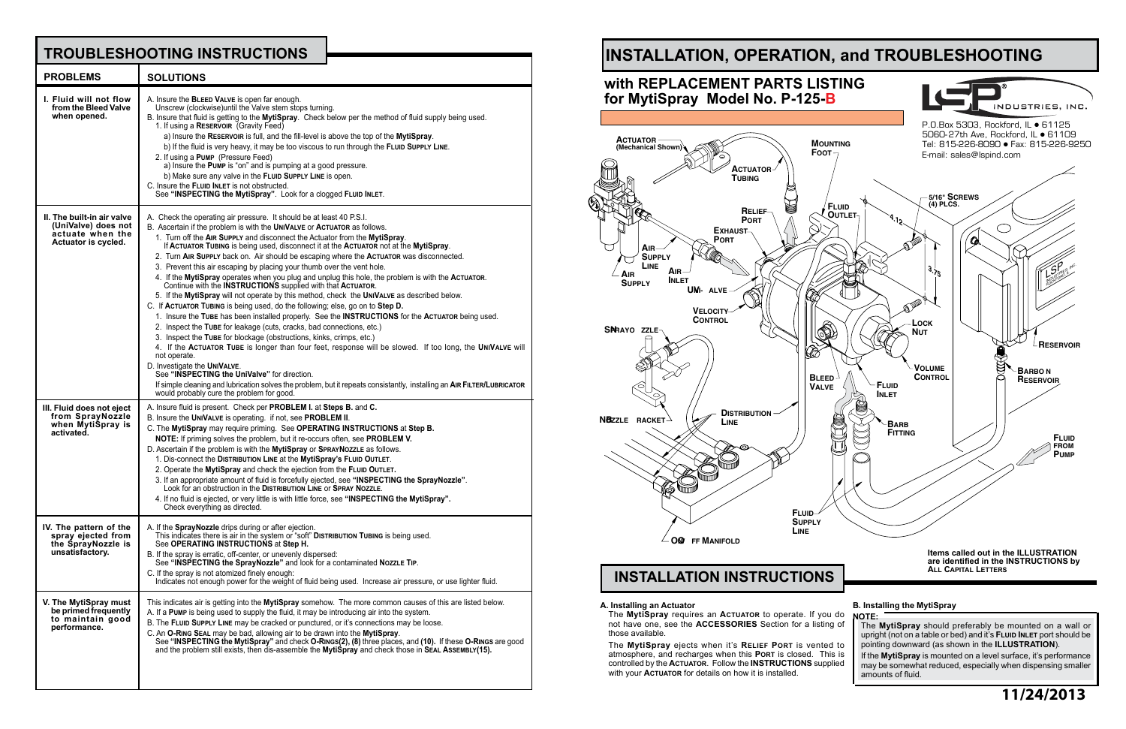**B. Installing the MytiSpray NOTE:**

The **MytiSpray** should preferably be mounted on a wall or upright (not on a table or bed) and it's **Fluid Inlet** port should be pointing downward (as shown in the **ILLUSTRATION**).

If the **MytiSpray** is mounted on a level surface, it's performance may be somewhat reduced, especially when dispensing smaller amounts of fluid.

#### **A. Installing an Actuator**

The **MytiSpray** requires an **Actuator** to operate. If you do not have one, see the **ACCESSORIES** Section for a listing of those available.

The **MytiSpray** ejects when it's **Relief Port** is vented to atmosphere, and recharges when this **Port** is closed. This is controlled by the **Actuator**. Follow the **INSTRUCTIONS** supplied with your **Actuator** for details on how it is installed.

## **TROUBLESHOOTING INSTRUCTIONS**



| <b>PROBLEMS</b>                                                                              | <b>SOLUTIONS</b>                                                                                                                                                                                                                                                                                                                                                                                                                                                                                                                                                                                                                                                                                                                                                                                                                                                                                                                                                                                                                                                                                                                                                                                                                                                                                                                                                                                                                                                                             |
|----------------------------------------------------------------------------------------------|----------------------------------------------------------------------------------------------------------------------------------------------------------------------------------------------------------------------------------------------------------------------------------------------------------------------------------------------------------------------------------------------------------------------------------------------------------------------------------------------------------------------------------------------------------------------------------------------------------------------------------------------------------------------------------------------------------------------------------------------------------------------------------------------------------------------------------------------------------------------------------------------------------------------------------------------------------------------------------------------------------------------------------------------------------------------------------------------------------------------------------------------------------------------------------------------------------------------------------------------------------------------------------------------------------------------------------------------------------------------------------------------------------------------------------------------------------------------------------------------|
| I. Fluid will not flow<br>from the Bleed Valve<br>when opened.                               | A. Insure the BLEED VALVE is open far enough.<br>Unscrew (clockwise) until the Valve stem stops turning.<br>B. Insure that fluid is getting to the MytiSpray. Check below per the method of fluid supply being used.<br>1. If using a RESERVOIR (Gravity Feed)<br>a) Insure the RESERVOIR is full, and the fill-level is above the top of the MytiSpray.<br>b) If the fluid is very heavy, it may be too viscous to run through the FLUID SUPPLY LINE.<br>2. If using a PUMP (Pressure Feed)<br>a) Insure the Pump is "on" and is pumping at a good pressure.<br>b) Make sure any valve in the FLUID SUPPLY LINE is open.<br>C. Insure the FLUID INLET is not obstructed.<br>See "INSPECTING the MytiSpray". Look for a clogged FLUID INLET.                                                                                                                                                                                                                                                                                                                                                                                                                                                                                                                                                                                                                                                                                                                                                 |
| II. The built-in air valve<br>(UniValve) does not<br>actuate when the<br>Actuator is cycled. | A. Check the operating air pressure. It should be at least 40 P.S.I.<br>B. Ascertain if the problem is with the UNIVALVE or ACTUATOR as follows.<br>1. Turn off the AIR SUPPLY and disconnect the Actuator from the MytiSpray.<br>If ACTUATOR TUBING is being used, disconnect it at the ACTUATOR not at the MytiSpray.<br>2. Turn AIR SUPPLY back on. Air should be escaping where the ACTUATOR was disconnected.<br>3. Prevent this air escaping by placing your thumb over the vent hole.<br>4. If the MytiSpray operates when you plug and unplug this hole, the problem is with the ACTUATOR.<br>Continue with the INSTRUCTIONS supplied with that ACTUATOR.<br>5. If the MytiSpray will not operate by this method, check the UNIVALVE as described below.<br>C. If ACTUATOR TUBING is being used, do the following; else, go on to Step D.<br>1. Insure the TUBE has been installed properly. See the INSTRUCTIONS for the ACTUATOR being used.<br>2. Inspect the TUBE for leakage (cuts, cracks, bad connections, etc.)<br>3. Inspect the TUBE for blockage (obstructions, kinks, crimps, etc.)<br>4. If the ACTUATOR TUBE is longer than four feet, response will be slowed. If too long, the UNIVALVE will<br>not operate.<br>D. Investigate the UNIVALVE.<br>See "INSPECTING the UniValve" for direction.<br>If simple cleaning and lubrication solves the problem, but it repeats consistantly, installing an AIR FILTER/LUBRICATOR<br>would probably cure the problem for good. |
| III. Fluid does not eject<br>from SprayNozzle<br>when MytiSpray is<br>activated.             | A. Insure fluid is present. Check per <b>PROBLEM I.</b> at <b>Steps B.</b> and C.<br>B. Insure the UNIVALVE is operating. if not, see PROBLEM II.<br>C. The MytiSpray may require priming. See OPERATING INSTRUCTIONS at Step B.<br>NOTE: If priming solves the problem, but it re-occurs often, see PROBLEM V.<br>D. Ascertain if the problem is with the MytiSpray or SPRAYNOZZLE as follows.<br>1. Dis-connect the DISTRIBUTION LINE at the MytiSpray's FLUID OUTLET.<br>2. Operate the MytiSpray and check the ejection from the FLUID OUTLET.<br>3. If an appropriate amount of fluid is forcefully ejected, see "INSPECTING the SprayNozzle".<br>Look for an obstruction in the DISTRIBUTION LINE or SPRAY NOZZLE.<br>4. If no fluid is ejected, or very little is with little force, see "INSPECTING the MytiSpray".<br>Check everything as directed.                                                                                                                                                                                                                                                                                                                                                                                                                                                                                                                                                                                                                                 |
| IV. The pattern of the<br>spray ejected from<br>the SprayNozzle is<br>unsatisfactory.        | A. If the <b>SprayNozzle</b> drips during or after ejection.<br>This indicates there is air in the system or "soft" <b>DISTRIBUTION TUBING</b> is being used.<br>See OPERATING INSTRUCTIONS at Step H.<br>B. If the spray is erratic, off-center, or unevenly dispersed:<br>See "INSPECTING the SprayNozzle" and look for a contaminated NozzLE TIP.<br>C. If the spray is not atomized finely enough:<br>Indicates not enough power for the weight of fluid being used. Increase air pressure, or use lighter fluid.                                                                                                                                                                                                                                                                                                                                                                                                                                                                                                                                                                                                                                                                                                                                                                                                                                                                                                                                                                        |
| V. The MytiSpray must<br>be primed frequently<br>to maintain good<br>performance.            | This indicates air is getting into the MytiSpray somehow. The more common causes of this are listed below.<br>A. If a PUMP is being used to supply the fluid, it may be introducing air into the system.<br>B. The FLUID SUPPLY LINE may be cracked or punctured, or it's connections may be loose.<br>C. An O-RING SEAL may be bad, allowing air to be drawn into the MytiSpray.<br>See "INSPECTING the MytiSpray" and check O-Rings(2), (8) three places, and (10). If these O-Rings are good<br>and the problem still exists, then dis-assemble the MytiSpray and check those in SEAL ASSEMBLY(15).                                                                                                                                                                                                                                                                                                                                                                                                                                                                                                                                                                                                                                                                                                                                                                                                                                                                                       |

**11/24/2013**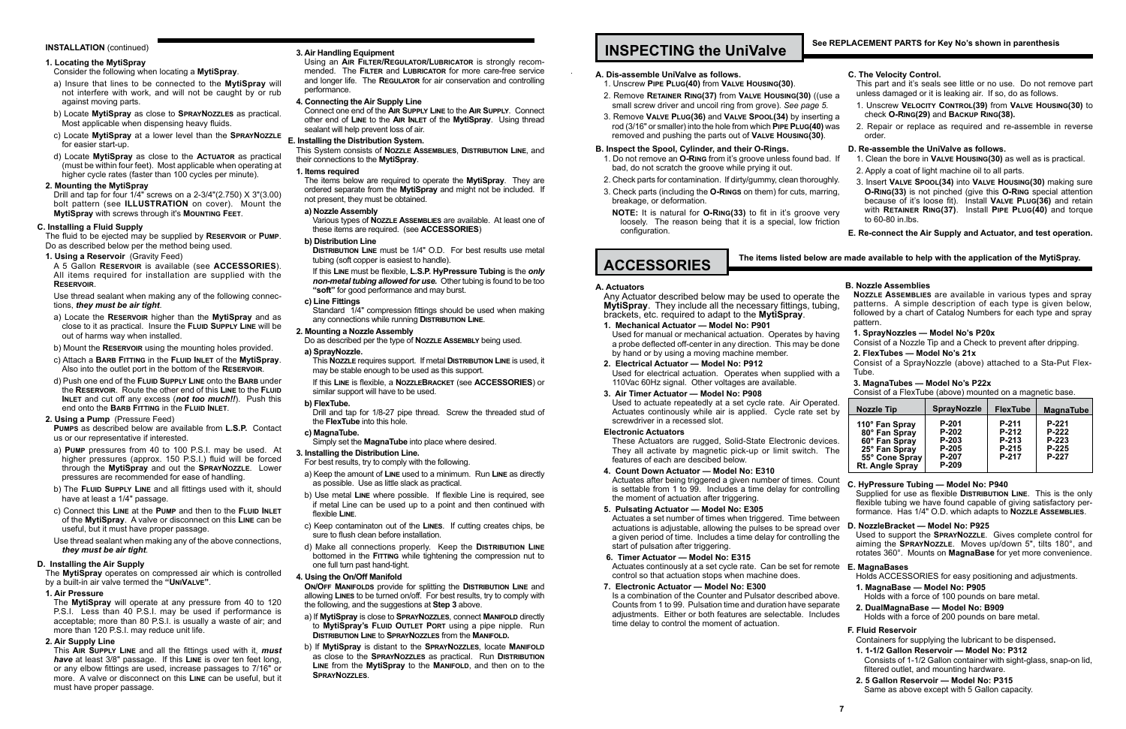#### **INSTALLATION** (continued)

#### **1. Locating the MytiSpray**

#### Consider the following when locating a **MytiSpray**.

- a) Insure that lines to be connected to the **MytiSpray** will not interfere with work, and will not be caught by or rub against moving parts.
- b) Locate **MytiSpray** as close to **SprayNozzles** as practical. Most applicable when dispensing heavy fluids.
- c) Locate **MytiSpray** at a lower level than the **SprayNozzle** for easier start-up.
- d) Locate **MytiSpray** as close to the **Actuator** as practical (must be within four feet). Most applicable when operating at higher cycle rates (faster than 100 cycles per minute).

#### **2. Mounting the MytiSpray**

Drill and tap for four 1/4" screws on a 2-3/4"(2.750) X 3"(3.00) bolt pattern (see **ILLUSTRATION** on cover). Mount the **MytiSpray** with screws through it's **Mounting Feet**.

#### **C. Installing a Fluid Supply**

The fluid to be ejected may be supplied by **Reservoir** or **Pump**. Do as described below per the method being used.

**1. Using a Reservoir** (Gravity Feed)

A 5 Gallon **Reservoir** is available (see **ACCESSORIES**). All items required for installation are supplied with the **Reservoir**.

Use thread sealant when making any of the following connections, *they must be air tight*.

- a) Locate the **Reservoir** higher than the **MytiSpray** and as close to it as practical. Insure the **Fluid Supply Line** will be out of harms way when installed.
- b) Mount the **Reservoir** using the mounting holes provided.
- c) Attach a **Barb Fitting** in the **Fluid Inlet** of the **MytiSpray**. Also into the outlet port in the bottom of the **Reservoir**.
- d) Push one end of the **Fluid Supply Line** onto the **Barb** under the **Reservoir**. Route the other end of this **Line** to the **Fluid Inlet** and cut off any excess (*not too much!!*). Push this end onto the **Barb Fitting** in the **Fluid Inlet**.

**2. Using a Pump** (Pressure Feed)

**Pumps** as described below are available from **L.S.P.** Contact us or our representative if interested.

**DISTRIBUTION LINE** must be 1/4" O.D. For best results use metal tubing (soft copper is easiest to handle).

- a) **Pump** pressures from 40 to 100 P.S.I. may be used. At higher pressures (approx. 150 P.S.I.) fluid will be forced through the **MytiSpray** and out the **SprayNozzle**. Lower pressures are recommended for ease of handling.
- b) The **Fluid Supply Line** and all fittings used with it, should have at least a 1/4" passage.
- c) Connect this **Line** at the **Pump** and then to the **Fluid Inlet** of the **MytiSpray**. A valve or disconnect on this **Line** can be useful, but it must have proper passage.
- Use thread sealant when making any of the above connections, *they must be air tight*.

Standard  $1/4$ " compression fittings should be used when making any connections while running **Distribution Line**.

#### **D. Installing the Air Supply**

The **MytiSpray** operates on compressed air which is controlled by a built-in air valve termed the **"UniValve"**.

**1. Air Pressure**

The **MytiSpray** will operate at any pressure from 40 to 120 P.S.I. Less than 40 P.S.I. may be used if performance is acceptable; more than 80 P.S.I. is usually a waste of air; and more than 120 P.S.I. may reduce unit life.

**2. Air Supply Line**

This **Air Supply Line** and all the fittings used with it, *must have* at least 3/8" passage. If this **Line** is over ten feet long, or any elbow fittings are used, increase passages to 7/16" or more. A valve or disconnect on this **Line** can be useful, but it must have proper passage.

#### **3. Air Handling Equipment**

Using an **Air Filter/Regulator/Lubricator** is strongly recommended. The **Filter** and **Lubricator** for more care-free service and longer life. The **Regulator** for air conservation and controlling performance.

#### **4. Connecting the Air Supply Line**

Connect one end of the **Air Supply Line** to the **Air Supply**. Connect other end of **Line** to the **Air Inlet** of the **MytiSpray**. Using thread sealant will help prevent loss of air.

- 1. Do not remove an **O-Ring** from it's groove unless found bad. bad, do not scratch the groove while prying it out.
- 2. Check parts for contamination. If dirty/gummy, clean thorough
- 3. Check parts (including the **O-Rings** on them) for cuts, marring, breakage, or deformation.
- **NOTE:** It is natural for **O-RING(33)** to fit in it's groove v loosely. The reason being that it is a special, low frict configuration.

#### **E. Installing the Distribution System.**

This System consists of **Nozzle Assemblies**, **Distribution Line**, and their connections to the **MytiSpray**.

#### **1. Items required**

The items below are required to operate the **MytiSpray**. They are ordered separate from the **MytiSpray** and might not be included. If not present, they must be obtained.

#### **a) Nozzle Assembly**

Various types of **Nozzle Assemblies** are available. At least one of these items are required. (see **ACCESSORIES**)

#### **b) Distribution Line**

Any Actuator described below may be used to operate **MytiSpray.** They include all the necessary fittings, tubing brackets, etc. required to adapt to the **MytiSpray**.

Used for manual or mechanical actuation. Operates by having a probe deflected off-center in any direction. This may be do by hand or by using a moving machine member.

If this **Line** must be flexible, **L.S.P. HyPressure Tubing** is the *only non-metal tubing allowed for use.* Other tubing is found to be too **"soft"** for good performance and may burst.

> Used for electrical actuation. Operates when supplied with 110Vac 60Hz signal. Other voltages are available.

#### **c) Line Fittings**

Used to actuate repeatedly at a set cycle rate. Air Operate Actuates continously while air is applied. Cycle rate set screwdriver in a recessed slot.

These Actuators are rugged, Solid-State Electronic device They all activate by magnetic pick-up or limit switch. features of each are descibed below.

**2. Mounting a Nozzle Assembly**

Do as described per the type of **Nozzle Assembly** being used. **a) SprayNozzle.**

> Actuates after being triggered a given number of times. Co is settable from 1 to 99. Includes a time delay for controll the moment of actuation after triggering.

This **Nozzle** requires support. If metal **Distribution Line** is used, it may be stable enough to be used as this support.

> Actuates a set number of times when triggered. Time betwe actuations is adjustable, allowing the pulses to be spread over a given period of time. Includes a time delay for controlling t start of pulsation after triggering.

If this **Line** is flexible, a **NozzleBracket** (see **ACCESSORIES**) or similar support will have to be used.

> Actuates continously at a set cycle rate. Can be set for reme control so that actuation stops when machine does.

#### **b) FlexTube.**

Drill and tap for 1/8-27 pipe thread. Screw the threaded stud of the **FlexTube** into this hole.

#### **c) MagnaTube.**

Is a combination of the Counter and Pulsator described above. Counts from 1 to 99. Pulsation time and duration have separated adjustments. Either or both features are selectable. Include time delay to control the moment of actuation.

Simply set the **MagnaTube** into place where desired.

#### **3. Installing the Distribution Line.**

- For best results, try to comply with the following.
- a) Keep the amount of **Line** used to a minimum. Run **Line** as directly as possible. Use as little slack as practical.
- b) Use metal **Line** where possible. If flexible Line is required, see if metal Line can be used up to a point and then continued with flexible **Line**.
- c) Keep contaminaton out of the **Lines**. If cutting creates chips, be sure to flush clean before installation.
- d) Make all connections properly. Keep the **Distribution Line** bottomed in the **Fitting** while tightening the compression nut to one full turn past hand-tight.

#### **4. Using the On/Off Manifold**

**On/Off Manifolds** provide for splitting the **Distribution Line** and allowing **Lines** to be turned on/off. For best results, try to comply with the following, and the suggestions at **Step 3** above.

- a) If **MytiSpray** is close to **SprayNozzles**, connect **Manifold** directly to **MytiSpray's Fluid Outlet Port** using a pipe nipple. Run **Distribution Line** to **SprayNozzles** from the **Manifold.**
- b) If **MytiSpray** is distant to the **SprayNozzles**, locate **Manifold** as close to the **SprayNozzles** as practical. Run **Distribution Line** from the **MytiSpray** to the **Manifold**, and then on to the **SprayNozzles**.

### **INSPECTING the UniValve**

#### **A. Dis-assemble UniValve as follows.**

- 1. Unscrew **Pipe Plug(40)** from **Valve Housing(30)**.
- 2. Remove **RETAINER RING(37)** from VALVE HOUSING(30) ((us small screw driver and uncoil ring from grove). *See page 5.*
- 3. Remove VALVE PLUG(36) and VALVE SPOOL(34) by inserting rod (3/16" or smaller) into the hole from which **PIPE PLUG(40)** removed and pushing the parts out of **Valve Housing(30)**.

#### **B. Inspect the Spool, Cylinder, and their O-Rings.**

| e a<br>ıg a<br>was           | C. The Velocity Control.<br>This part and it's seals see little or no use. Do not remove part<br>unless damaged or it is leaking air. If so, do as follows.<br>1. Unscrew VELOCITY CONTROL(39) from VALVE HOUSING(30) to<br>check O-RING(29) and BACKUP RING(38).<br>2. Repair or replace as required and re-assemble in reverse<br>order. |
|------------------------------|--------------------------------------------------------------------------------------------------------------------------------------------------------------------------------------------------------------------------------------------------------------------------------------------------------------------------------------------|
| 1. If                        | D. Re-assemble the UniValve as follows.<br>1. Clean the bore in VALVE HOUSING(30) as well as is practical.                                                                                                                                                                                                                                 |
|                              | 2. Apply a coat of light machine oil to all parts.                                                                                                                                                                                                                                                                                         |
| ıhly.<br>ing,<br>erv<br>tion | 3. Insert VALVE SPOOL(34) into VALVE HOUSING(30) making sure<br><b>O-RING(33)</b> is not pinched (give this <b>O-RING</b> special attention<br>because of it's loose fit). Install VALVE PLUG(36) and retain<br>with RETAINER RING(37). Install PIPE PLUG(40) and torque<br>to 60-80 in lbs.                                               |

**E. Re-connect the Air Supply and Actuator, and test operation.**

#### **The items listed below are made available to help with the application of the MytiSpray.**

#### **A. Actuators**

**1. Mechanical Actuator — Model No: P901**

**2. Electrical Actuator — Model No: P912**

#### **3. Air Timer Actuator — Model No: P908**

#### **Electronic Actuators**

#### **4. Count Down Actuator — Model No: E310**

**5. Pulsating Actuator — Model No: E305**

#### **6. Timer Actuator — Model No: E315**

#### **7. Electronic Actuator — Model No: E300**

| the<br>ng,          | <b>B. Nozzle Assemblies</b><br>NOZZLE ASSEMBLIES are available in various types and spray<br>patterns. A simple description of each type is given below,<br>followed by a chart of Catalog Numbers for each type and spray<br>pattern.       |                                                                                                                                                              |                                             |                                               |  |  |
|---------------------|----------------------------------------------------------------------------------------------------------------------------------------------------------------------------------------------------------------------------------------------|--------------------------------------------------------------------------------------------------------------------------------------------------------------|---------------------------------------------|-----------------------------------------------|--|--|
| ing<br>one          | 1. SprayNozzles - Model No's P20x<br>Consist of a Nozzle Tip and a Check to prevent after dripping.                                                                                                                                          |                                                                                                                                                              |                                             |                                               |  |  |
| h a                 | 2. FlexTubes - Model No's 21x<br>Consist of a SprayNozzle (above) attached to a Sta-Put Flex-<br>Tube.<br>3. MagnaTubes - Model No's P22x<br>Consist of a FlexTube (above) mounted on a magnetic base.                                       |                                                                                                                                                              |                                             |                                               |  |  |
| ed.<br>by           | <b>Nozzle Tip</b>                                                                                                                                                                                                                            | <b>SprayNozzle</b>                                                                                                                                           | <b>FlexTube</b>                             | <b>MagnaTube</b>                              |  |  |
| es.<br>Гhе          | 110° Fan Spray<br>80° Fan Spray<br>60° Fan Spray<br>25° Fan Spray<br>55° Cone Spray<br>Rt. Angle Spray                                                                                                                                       | P-201<br>$P-202$<br>P-203<br>$P-205$<br>P-207<br>P-209                                                                                                       | P-211<br>P-212<br>P-213<br>$P-215$<br>P-217 | $P-221$<br>P-222<br>P-223<br>$P-225$<br>P-227 |  |  |
| unt<br>ling         | C. HyPressure Tubing - Model No: P940<br>Supplied for use as flexible DISTRIBUTION LINE. This is the only<br>flexible tubing we have found capable of giving satisfactory per-<br>formance. Has 1/4" O.D. which adapts to NOZZLE ASSEMBLIES. |                                                                                                                                                              |                                             |                                               |  |  |
| een<br>ver<br>the   | D. NozzleBracket - Model No: P925<br>Used to support the SPRAYNOZZLE. Gives complete control for<br>aiming the SPRAYNOZZLE. Moves up/down 5", tilts 180°, and<br>rotates 360°. Mounts on MagnaBase for yet more convenience.                 |                                                                                                                                                              |                                             |                                               |  |  |
| ote                 | E. MagnaBases                                                                                                                                                                                                                                |                                                                                                                                                              |                                             |                                               |  |  |
| ive.<br>ate:<br>des | Holds ACCESSORIES for easy positioning and adjustments.<br>1. MagnaBase - Model No: P905<br>Holds with a force of 100 pounds on bare metal.<br>2. DualMagnaBase - Model No: B909<br>Holds with a force of 200 pounds on bare metal.          |                                                                                                                                                              |                                             |                                               |  |  |
|                     | <b>F. Fluid Reservoir</b><br>Containers for supplying the lubricant to be dispensed.<br>1. 1-1/2 Gallon Reservoir - Model No: P312<br>2.5 Gallon Reservoir - Model No: P315                                                                  | Consists of 1-1/2 Gallon container with sight-glass, snap-on lid,<br>filtered outlet, and mounting hardware.<br>Same as above except with 5 Gallon capacity. |                                             |                                               |  |  |

## **ACCESSORIES**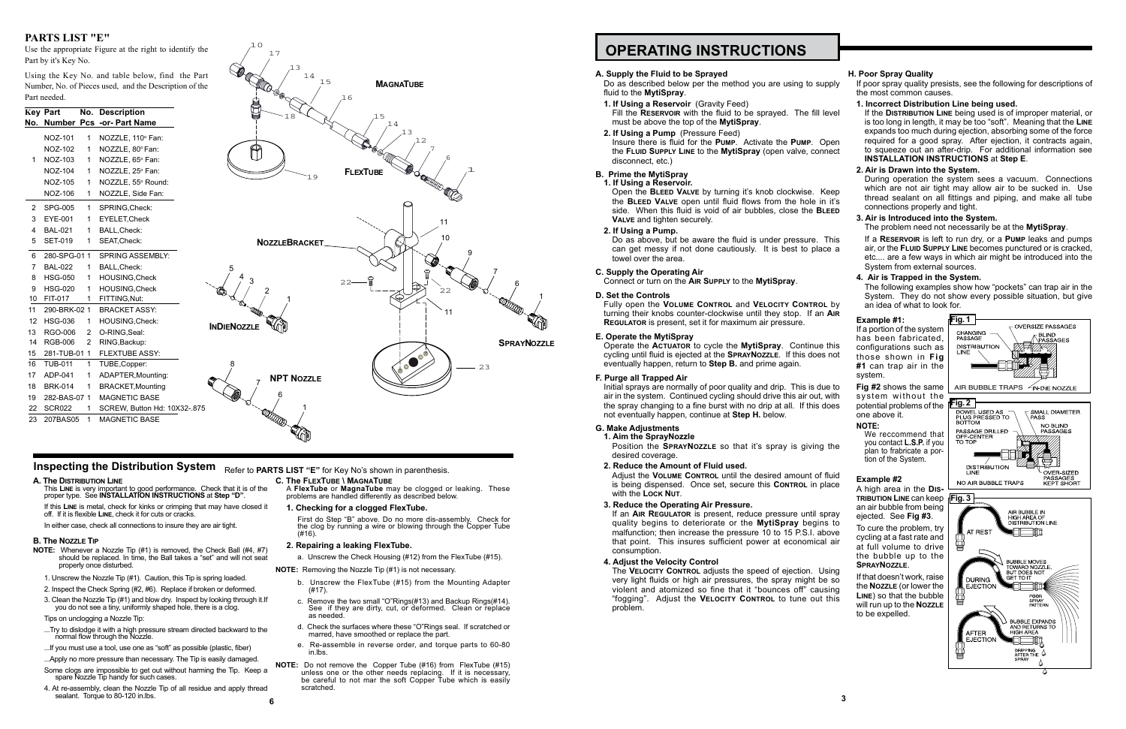## **OPERATING INSTRUCTIONS**

#### **A. Supply the Fluid to be Sprayed**

Do as described below per the method you are using to supply fluid to the **MytiSpray**.

Insure there is fluid for the **Pump**. Activate the **Pump**. Open the **Fluid Supply Line** to the **MytiSpray** (open valve, connect disconnect, etc.)

- **1. If Using a Reservoir** (Gravity Feed) Fill the **Reservoir** with the fluid to be sprayed. The fill level must be above the top of the **MytiSpray**.
- **2. If Using a Pump** (Pressure Feed)

### **B. Prime the MytiSpray**

**1. If Using a Reservoir.**

Open the **Bleed Valve** by turning it's knob clockwise. Keep the **Bleed Valve** open until fluid flows from the hole in it's side. When this fluid is void of air bubbles, close the **Bleed Valve** and tighten securely.

**2. If Using a Pump.**

### **C. Supply the Operating Air**

Connect or turn on the **Air Supply** to the **MytiSpray**.

#### **D. Set the Controls**

Fully open the **Volume Control** and **Velocity Control** by turning their knobs counter-clockwise until they stop. If an **Air Regulator** is present, set it for maximum air pressure.

#### **E. Operate the MytiSpray**

Operate the **Actuator** to cycle the **MytiSpray**. Continue this cycling until fluid is ejected at the **SprayNozzle**. If this does not eventually happen, return to **Step B.** and prime again.

#### **F. Purge all Trapped Air**

Initial sprays are normally of poor quality and drip. This is due to air in the system. Continued cycling should drive this air out, with the spray changing to a fine burst with no drip at all. If this does not eventually happen, continue at **Step H.** below.

#### **G. Make Adjustments**

**1. Aim the SprayNozzle** Position the **SprayNozzle** so that it's spray is giving the desired coverage.

#### **2. Reduce the Amount of Fluid used.**

Adjust the **Volume Control** until the desired amount of fluid is being dispensed. Once set, secure this **CONTROL** in place with the **Lock Nut**.

#### **3. Reduce the Operating Air Pressure.**

If an **Air Regulator** is present, reduce pressure until spray quality begins to deteriorate or the **MytiSpray** begins to malfunction; then increase the pressure 10 to 15 P.S.I. above that point. This insures sufficient power at economical air consumption.

Do as above, but be aware the fluid is under pressure. This can get messy if not done cautiously. It is best to place a towel over the area. If a **Reservoir** is left to run dry, or a **Pump** leaks and pumps air, or the **Fluid Supply Line** becomes punctured or is cracked, etc.... are a few ways in which air might be introduced into the System from external sources.

#### **4. Adjust the Velocity Control**

The **Velocity Control** adjusts the speed of ejection. Using very light fluids or high air pressures, the spray might be so violent and atomized so fine that it "bounces off" causing "fogging". Adjust the **Velocity Control** to tune out this problem.

#### **H. Poor Spray Quality**

If poor spray quality presists, see the following for descriptions of the most common causes.

- ...Try to dislodge it with a high pressure stream directed backward to the normal flow through the Nozzle.
- ...If you must use a tool, use one as "soft" as possible (plastic, fiber)
- ...Apply no more pressure than necessary. The Tip is easily damaged.
- Some clogs are impossible to get out without harming the Tip. Keep a spare Nozzle Tip handy for such cases.
- 4. At re-assembly, clean the Nozzle Tip of all residue and apply thread sealant. Torque to 80-120 in lbs.

#### **1. Incorrect Distribution Line being used.**

If the **Distribution Line** being used is of improper material, or is too long in length, it may be too "soft". Meaning that the **Line** expands too much during ejection, absorbing some of the force required for a good spray. After ejection, it contracts again, to squeeze out an after-drip. For additional information see **INSTALLATION INSTRUCTIONS** at **Step E**.

#### **2. Air is Drawn into the System.**

During operation the system sees a vacuum. Connections which are not air tight may allow air to be sucked in. Use thread sealant on all fittings and piping, and make all tube connections properly and tight.

#### **3. Air is Introduced into the System.** The problem need not necessarily be at the **MytiSpray**.

### **4. Air is Trapped in the System.**

The following examples show how "pockets" can trap air in the System. They do not show every possible situation, but give an idea of what to look for.

#### **Example #1:**

If a portion of the system has been fabricated, configurations such as those shown in **Fig #1** can trap air in the system.

**Fig #2** shows the same system without the potential problems of the **Fig. 2** one above it.

#### **NOTE:**

We reccommend that you contact **L.S.P.** if you plan to frabricate a portion of the System.

#### **Example #2**

A high area in the **Distribution Line** can keep **Fig. 3** an air bubble from being ejected. See **Fig #3**.

To cure the problem, try cycling at a fast rate and at full volume to drive the bubble up to the **SprayNozzle**.

If that doesn't work, raise the **Nozzle** (or lower the **Line**) so that the bubble will run up to the **Nozzle** to be expelled.

#### **A. The Distribution Line**

This **Line** is very important to good performance. Check that it is of the proper type. See **INSTALLATION INSTRUCTIONS** at **Step "D"**.

If this **Line** is metal, check for kinks or crimping that may have closed it off. If it is flexible **Line**, check it for cuts or cracks.

In either case, check all connections to insure they are air tight.

#### **B. The Nozzle Tip**

- **NOTE:** Whenever a Nozzle Tip (#1) is removed, the Check Ball (#4, #7) should be replaced. In time, the Ball takes a "set" and will not seat properly once disturbed.
- 1. Unscrew the Nozzle Tip (#1). Caution, this Tip is spring loaded.
- 2. Inspect the Check Spring (#2, #6). Replace if broken or deformed.
- 3. Clean the Nozzle Tip (#1) and blow dry. Inspect by looking through it.If you do not see a tiny, uniformly shaped hole, there is a clog.

#### Tips on unclogging a Nozzle Tip:

**C. The FlexTube \ MagnaTube**

A **FlexTube** or **MagnaTube** may be clogged or leaking. These problems are handled differently as described below.

**1. Checking for a clogged FlexTube.**

First do Step "B" above. Do no more dis-assembly. Check for the clog by running a wire or blowing through the Copper Tube (#16).

- **2. Repairing a leaking FlexTube.**
- a. Unscrew the Check Housing (#12) from the FlexTube (#15).

**NOTE:** Removing the Nozzle Tip (#1) is not necessary.

- b. Unscrew the FlexTube (#15) from the Mounting Adapter (#17).
- c. Remove the two small "O"Rings(#13) and Backup Rings(#14). See if they are dirty, cut, or deformed. Clean or replace as needed.
- d. Check the surfaces where these "O"Rings seal. If scratched or marred, have smoothed or replace the part.
- e. Re-assemble in reverse order, and torque parts to 60-80 in.lbs.
- **NOTE:** Do not remove the Copper Tube (#16) from FlexTube (#15) unless one or the other needs replacing. If it is necessary, be careful to not mar the soft Copper Tube which is easily scratched.



 $\Delta$ 

### **PARTS LIST "E"**

Use the appropriate Figure at the right to identify the Part by it's Key No.

Using the Key No. and table below, find the Part Number, No. of Pieces used, and the Description of the

|                                                                                                       | Part needed.                                                                                                                                                                                                                                            |                                                   | Number, No. of Pieces used, and the Description of the                                                                                                                                                                                                                                                                                  | <b>ANDER</b><br>15<br><b>MAGNATUBE</b><br>16                                                                                                                  |
|-------------------------------------------------------------------------------------------------------|---------------------------------------------------------------------------------------------------------------------------------------------------------------------------------------------------------------------------------------------------------|---------------------------------------------------|-----------------------------------------------------------------------------------------------------------------------------------------------------------------------------------------------------------------------------------------------------------------------------------------------------------------------------------------|---------------------------------------------------------------------------------------------------------------------------------------------------------------|
|                                                                                                       | <b>Key Part</b>                                                                                                                                                                                                                                         |                                                   | No. Description<br>No. Number Pcs -or- Part Name                                                                                                                                                                                                                                                                                        | 1.5<br>18<br>14                                                                                                                                               |
| 1.                                                                                                    | NOZ-101<br><b>NOZ-102</b><br>NOZ-103<br><b>NOZ-104</b><br><b>NOZ-105</b><br>NOZ-106                                                                                                                                                                     | -1<br>-1<br>1                                     | NOZZLE, 110° Fan:<br>NOZZLE, 80° Fan:<br>NOZZLE, 65° Fan:<br>NOZZLE, 25° Fan:<br>NOZZLE, 55° Round:<br>NOZZLE, Side Fan:                                                                                                                                                                                                                | 13<br>12<br>$\mathbf 1$<br><b>FLEXTUBE</b><br>19<br><b>CERCARDORES</b>                                                                                        |
| 2<br>3<br>5                                                                                           | <b>SPG-005</b><br>EYE-001<br><b>BAL-021</b><br><b>SET-019</b>                                                                                                                                                                                           | $\mathbf{1}$<br>-1<br>1                           | SPRING, Check:<br>EYELET, Check<br>BALL, Check:<br>SEAT, Check:                                                                                                                                                                                                                                                                         | 11<br>10<br><b>NOZZLEBRACKET</b>                                                                                                                              |
| 6<br>7<br>8<br>9<br>10<br>11<br>12 <sup>°</sup><br>13<br>14<br>15<br>16<br>17<br>18<br>19<br>22<br>23 | 280-SPG-011<br><b>BAL-022</b><br><b>HSG-050</b><br><b>HSG-020</b><br>FIT-017<br>290-BRK-02 1<br><b>HSG-036</b><br>RGO-006<br><b>RGB-006</b><br>281-TUB-01 1<br><b>TUB-011</b><br>ADP-041<br><b>BRK-014</b><br>282-BAS-07 1<br><b>SCR022</b><br>207BAS05 | -1<br>-1<br>2<br>$\overline{2}$<br>-1<br>-1<br>-1 | SPRING ASSEMBLY:<br>BALL, Check:<br>HOUSING, Check<br>HOUSING, Check<br>FITTING, Nut:<br><b>BRACKET ASSY:</b><br>HOUSING, Check:<br>O-RING, Seal:<br>RING, Backup:<br><b>FLEXTUBE ASSY:</b><br>TUBE, Copper:<br>ADAPTER, Mounting:<br><b>BRACKET, Mounting</b><br><b>MAGNETIC BASE</b><br>SCREW, Button Hd: 10X32-.875<br>MAGNETIC BASE | ម្ន<br>$22 -$<br>22<br><b>COOLEY</b><br>11<br><b>INDIENOZZLE</b><br><b>SPRAYNOZZLE</b><br>$\circ^\mathbb{C}$<br>8<br>23<br><b>NPT NOZZLE</b><br><b>COLLOR</b> |

13 14

17

10

**Inspecting the Distribution System** Refer to PARTS LIST "E" for Key No's shown in parenthesis.